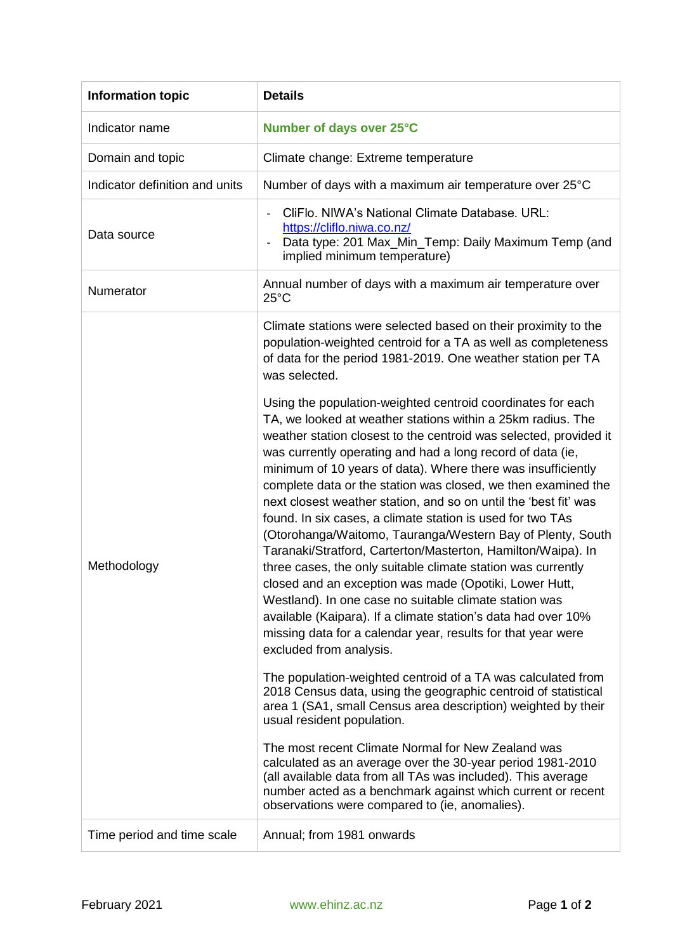| <b>Information topic</b>       | <b>Details</b>                                                                                                                                                                                                                                                                                                                                                                                                                                                                                                                                                                                                                                                                                                                                                                                                                                                                                                                                                                                                 |
|--------------------------------|----------------------------------------------------------------------------------------------------------------------------------------------------------------------------------------------------------------------------------------------------------------------------------------------------------------------------------------------------------------------------------------------------------------------------------------------------------------------------------------------------------------------------------------------------------------------------------------------------------------------------------------------------------------------------------------------------------------------------------------------------------------------------------------------------------------------------------------------------------------------------------------------------------------------------------------------------------------------------------------------------------------|
| Indicator name                 | Number of days over 25°C                                                                                                                                                                                                                                                                                                                                                                                                                                                                                                                                                                                                                                                                                                                                                                                                                                                                                                                                                                                       |
| Domain and topic               | Climate change: Extreme temperature                                                                                                                                                                                                                                                                                                                                                                                                                                                                                                                                                                                                                                                                                                                                                                                                                                                                                                                                                                            |
| Indicator definition and units | Number of days with a maximum air temperature over 25°C                                                                                                                                                                                                                                                                                                                                                                                                                                                                                                                                                                                                                                                                                                                                                                                                                                                                                                                                                        |
| Data source                    | CliFlo. NIWA's National Climate Database. URL:<br>https://cliflo.niwa.co.nz/<br>Data type: 201 Max_Min_Temp: Daily Maximum Temp (and<br>implied minimum temperature)                                                                                                                                                                                                                                                                                                                                                                                                                                                                                                                                                                                                                                                                                                                                                                                                                                           |
| Numerator                      | Annual number of days with a maximum air temperature over<br>$25^{\circ}$ C                                                                                                                                                                                                                                                                                                                                                                                                                                                                                                                                                                                                                                                                                                                                                                                                                                                                                                                                    |
| Methodology                    | Climate stations were selected based on their proximity to the<br>population-weighted centroid for a TA as well as completeness<br>of data for the period 1981-2019. One weather station per TA<br>was selected.                                                                                                                                                                                                                                                                                                                                                                                                                                                                                                                                                                                                                                                                                                                                                                                               |
|                                | Using the population-weighted centroid coordinates for each<br>TA, we looked at weather stations within a 25km radius. The<br>weather station closest to the centroid was selected, provided it<br>was currently operating and had a long record of data (ie,<br>minimum of 10 years of data). Where there was insufficiently<br>complete data or the station was closed, we then examined the<br>next closest weather station, and so on until the 'best fit' was<br>found. In six cases, a climate station is used for two TAs<br>(Otorohanga/Waitomo, Tauranga/Western Bay of Plenty, South<br>Taranaki/Stratford, Carterton/Masterton, Hamilton/Waipa). In<br>three cases, the only suitable climate station was currently<br>closed and an exception was made (Opotiki, Lower Hutt,<br>Westland). In one case no suitable climate station was<br>available (Kaipara). If a climate station's data had over 10%<br>missing data for a calendar year, results for that year were<br>excluded from analysis. |
|                                | The population-weighted centroid of a TA was calculated from<br>2018 Census data, using the geographic centroid of statistical<br>area 1 (SA1, small Census area description) weighted by their<br>usual resident population.                                                                                                                                                                                                                                                                                                                                                                                                                                                                                                                                                                                                                                                                                                                                                                                  |
|                                | The most recent Climate Normal for New Zealand was<br>calculated as an average over the 30-year period 1981-2010<br>(all available data from all TAs was included). This average<br>number acted as a benchmark against which current or recent<br>observations were compared to (ie, anomalies).                                                                                                                                                                                                                                                                                                                                                                                                                                                                                                                                                                                                                                                                                                              |
| Time period and time scale     | Annual; from 1981 onwards                                                                                                                                                                                                                                                                                                                                                                                                                                                                                                                                                                                                                                                                                                                                                                                                                                                                                                                                                                                      |